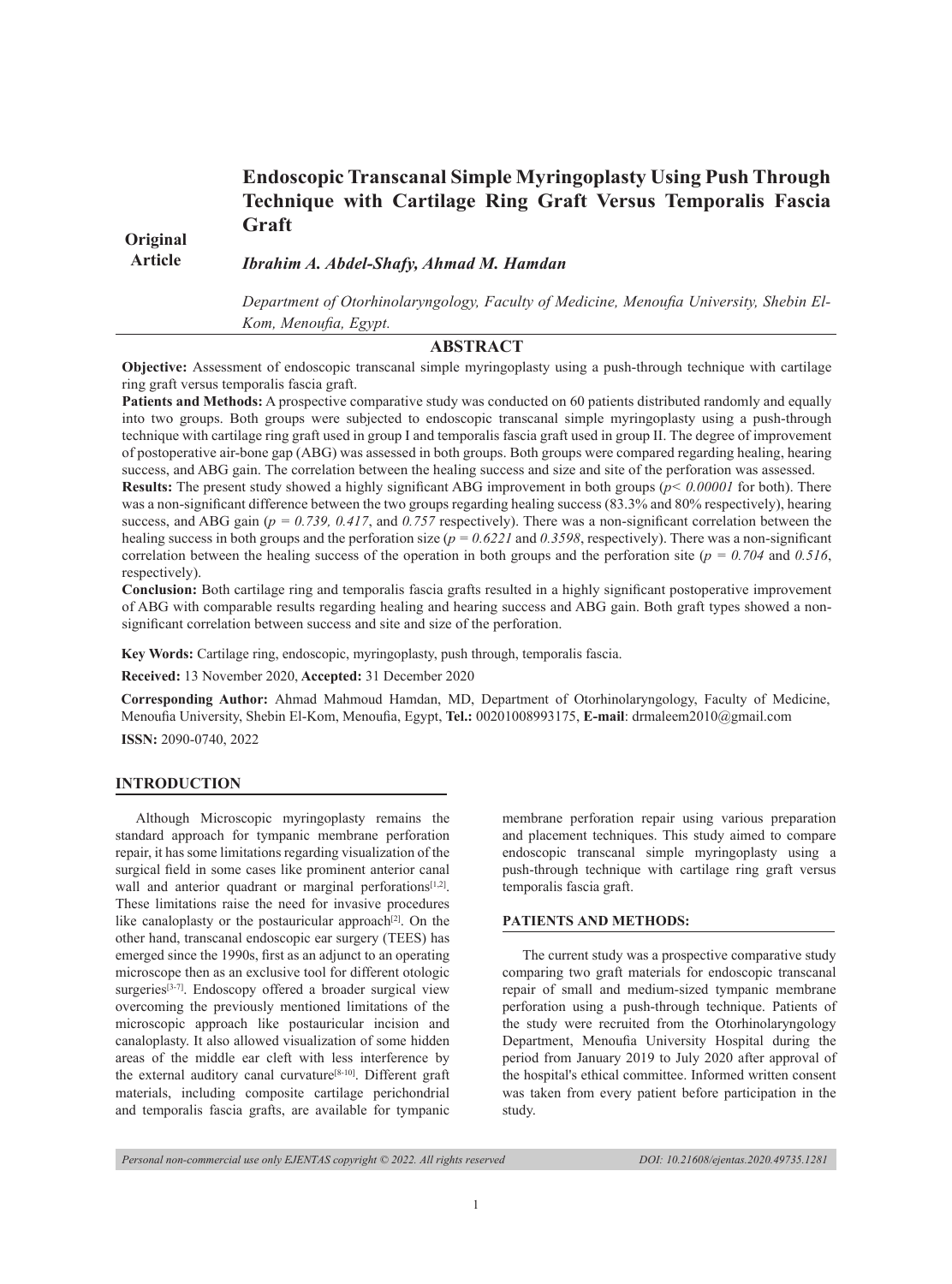# **Endoscopic Transcanal Simple Myringoplasty Using Push Through Technique with Cartilage Ring Graft Versus Temporalis Fascia Graft**

**Original Article** 

*Ibrahim A. Abdel-Shafy, Ahmad M. Hamdan*

*Department of Otorhinolaryngology, Faculty of Medicine, Menoufia University, Shebin El-Kom, Menoufia, Egypt.*

# **ABSTRACT**

**Objective:** Assessment of endoscopic transcanal simple myringoplasty using a push-through technique with cartilage ring graft versus temporalis fascia graft.

**Patients and Methods:** A prospective comparative study was conducted on 60 patients distributed randomly and equally into two groups. Both groups were subjected to endoscopic transcanal simple myringoplasty using a push-through technique with cartilage ring graft used in group I and temporalis fascia graft used in group II. The degree of improvement of postoperative air-bone gap (ABG) was assessed in both groups. Both groups were compared regarding healing, hearing success, and ABG gain. The correlation between the healing success and size and site of the perforation was assessed.

**Results:** The present study showed a highly significant ABG improvement in both groups (*p< 0.00001* for both). There was a non-significant difference between the two groups regarding healing success (83.3% and 80% respectively), hearing success, and ABG gain ( $p = 0.739$ , 0.417, and 0.757 respectively). There was a non-significant correlation between the healing success in both groups and the perforation size ( $p = 0.6221$  and 0.3598, respectively). There was a non-significant correlation between the healing success of the operation in both groups and the perforation site ( $p = 0.704$  and  $0.516$ , respectively).

**Conclusion:** Both cartilage ring and temporalis fascia grafts resulted in a highly significant postoperative improvement of ABG with comparable results regarding healing and hearing success and ABG gain. Both graft types showed a nonsignificant correlation between success and site and size of the perforation.

**Key Words:** Cartilage ring, endoscopic, myringoplasty, push through, temporalis fascia.

**Received:** 13 November 2020, **Accepted:** 31 December 2020

**Corresponding Author:** Ahmad Mahmoud Hamdan, MD, Department of Otorhinolaryngology, Faculty of Medicine, Menoufia University, Shebin El-Kom, Menoufia, Egypt, **Tel.:** 00201008993175, **E-mail**: drmaleem2010@gmail.com

**ISSN:** 2090-0740, 2022

## **INTRODUCTION**

Although Microscopic myringoplasty remains the standard approach for tympanic membrane perforation repair, it has some limitations regarding visualization of the surgical field in some cases like prominent anterior canal wall and anterior quadrant or marginal perforations<sup>[1,2]</sup>. These limitations raise the need for invasive procedures like canaloplasty or the postauricular approach<sup>[2]</sup>. On the other hand, transcanal endoscopic ear surgery (TEES) has emerged since the 1990s, first as an adjunct to an operating microscope then as an exclusive tool for different otologic surgeries<sup>[3-7]</sup>. Endoscopy offered a broader surgical view overcoming the previously mentioned limitations of the microscopic approach like postauricular incision and canaloplasty. It also allowed visualization of some hidden areas of the middle ear cleft with less interference by the external auditory canal curvature<sup>[8-10]</sup>. Different graft materials, including composite cartilage perichondrial and temporalis fascia grafts, are available for tympanic

membrane perforation repair using various preparation and placement techniques. This study aimed to compare endoscopic transcanal simple myringoplasty using a push-through technique with cartilage ring graft versus temporalis fascia graft.

#### **PATIENTS AND METHODS:**

The current study was a prospective comparative study comparing two graft materials for endoscopic transcanal repair of small and medium-sized tympanic membrane perforation using a push-through technique. Patients of the study were recruited from the Otorhinolaryngology Department, Menoufia University Hospital during the period from January 2019 to July 2020 after approval of the hospital's ethical committee. Informed written consent was taken from every patient before participation in the study.

*Personal non-commercial use only EJENTAS copyright © 2022. All rights reserved DOI: 10.21608/ejentas.2020.49735.1281*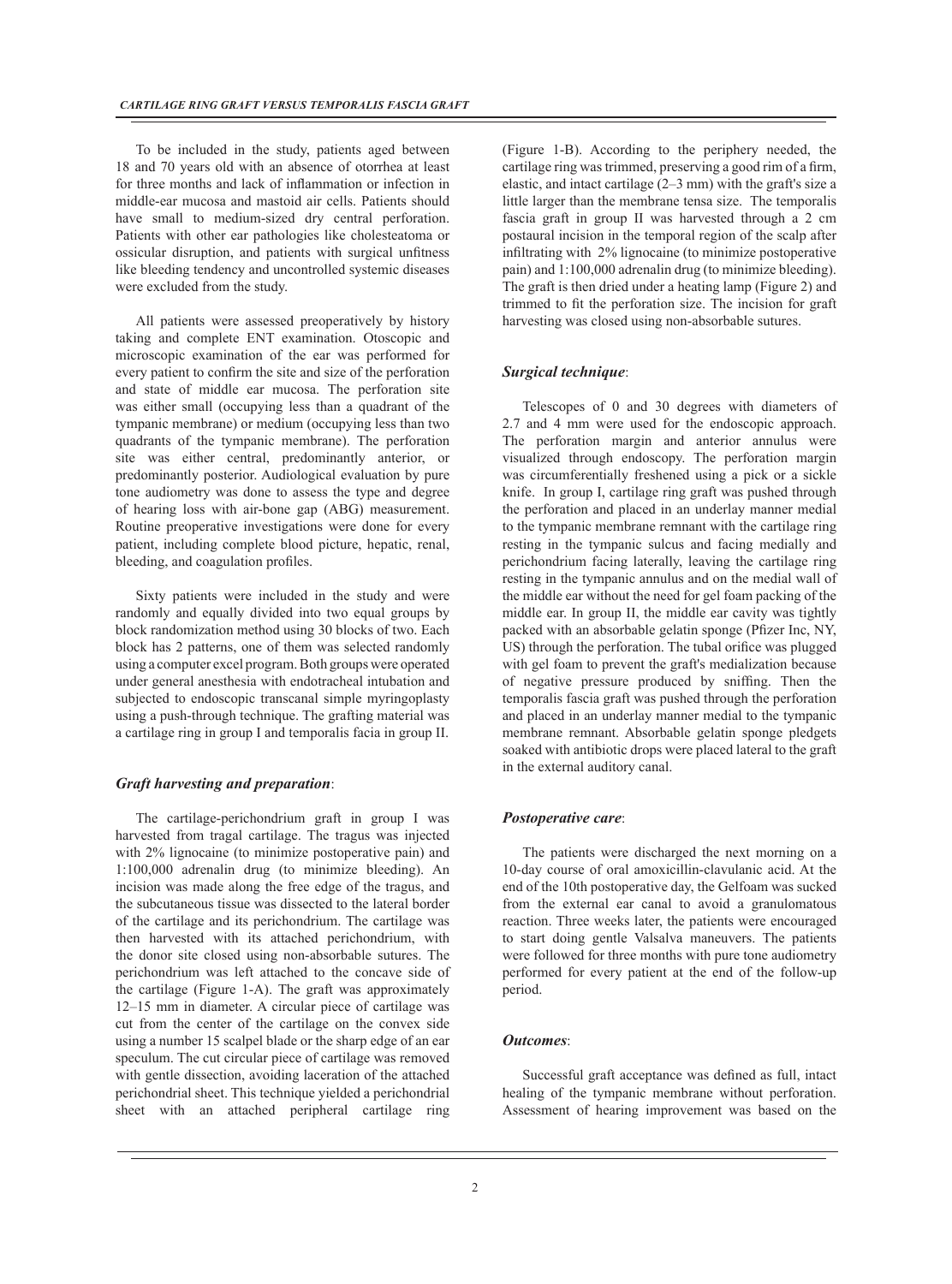To be included in the study, patients aged between 18 and 70 years old with an absence of otorrhea at least for three months and lack of inflammation or infection in middle-ear mucosa and mastoid air cells. Patients should have small to medium-sized dry central perforation. Patients with other ear pathologies like cholesteatoma or ossicular disruption, and patients with surgical unfitness like bleeding tendency and uncontrolled systemic diseases were excluded from the study.

All patients were assessed preoperatively by history taking and complete ENT examination. Otoscopic and microscopic examination of the ear was performed for every patient to confirm the site and size of the perforation and state of middle ear mucosa. The perforation site was either small (occupying less than a quadrant of the tympanic membrane) or medium (occupying less than two quadrants of the tympanic membrane). The perforation site was either central, predominantly anterior, or predominantly posterior. Audiological evaluation by pure tone audiometry was done to assess the type and degree of hearing loss with air-bone gap (ABG) measurement. Routine preoperative investigations were done for every patient, including complete blood picture, hepatic, renal, bleeding, and coagulation profiles.

Sixty patients were included in the study and were randomly and equally divided into two equal groups by block randomization method using 30 blocks of two. Each block has 2 patterns, one of them was selected randomly using a computer excel program. Both groups were operated under general anesthesia with endotracheal intubation and subjected to endoscopic transcanal simple myringoplasty using a push-through technique. The grafting material was a cartilage ring in group I and temporalis facia in group II.

#### *Graft harvesting and preparation*:

The cartilage-perichondrium graft in group I was harvested from tragal cartilage. The tragus was injected with 2% lignocaine (to minimize postoperative pain) and 1:100,000 adrenalin drug (to minimize bleeding). An incision was made along the free edge of the tragus, and the subcutaneous tissue was dissected to the lateral border of the cartilage and its perichondrium. The cartilage was then harvested with its attached perichondrium, with the donor site closed using non-absorbable sutures. The perichondrium was left attached to the concave side of the cartilage (Figure 1-A). The graft was approximately 12–15 mm in diameter. A circular piece of cartilage was cut from the center of the cartilage on the convex side using a number 15 scalpel blade or the sharp edge of an ear speculum. The cut circular piece of cartilage was removed with gentle dissection, avoiding laceration of the attached perichondrial sheet. This technique yielded a perichondrial sheet with an attached peripheral cartilage ring

(Figure 1-B). According to the periphery needed, the cartilage ring was trimmed, preserving a good rim of a firm, elastic, and intact cartilage (2–3 mm) with the graft's size a little larger than the membrane tensa size. The temporalis fascia graft in group II was harvested through a 2 cm postaural incision in the temporal region of the scalp after infiltrating with 2% lignocaine (to minimize postoperative pain) and 1:100,000 adrenalin drug (to minimize bleeding). The graft is then dried under a heating lamp (Figure 2) and trimmed to fit the perforation size. The incision for graft harvesting was closed using non-absorbable sutures.

#### *Surgical technique*:

Telescopes of 0 and 30 degrees with diameters of 2.7 and 4 mm were used for the endoscopic approach. The perforation margin and anterior annulus were visualized through endoscopy. The perforation margin was circumferentially freshened using a pick or a sickle knife. In group I, cartilage ring graft was pushed through the perforation and placed in an underlay manner medial to the tympanic membrane remnant with the cartilage ring resting in the tympanic sulcus and facing medially and perichondrium facing laterally, leaving the cartilage ring resting in the tympanic annulus and on the medial wall of the middle ear without the need for gel foam packing of the middle ear. In group II, the middle ear cavity was tightly packed with an absorbable gelatin sponge (Pfizer Inc, NY, US) through the perforation. The tubal orifice was plugged with gel foam to prevent the graft's medialization because of negative pressure produced by sniffing. Then the temporalis fascia graft was pushed through the perforation and placed in an underlay manner medial to the tympanic membrane remnant. Absorbable gelatin sponge pledgets soaked with antibiotic drops were placed lateral to the graft in the external auditory canal.

#### *Postoperative care*:

The patients were discharged the next morning on a 10-day course of oral amoxicillin-clavulanic acid. At the end of the 10th postoperative day, the Gelfoam was sucked from the external ear canal to avoid a granulomatous reaction. Three weeks later, the patients were encouraged to start doing gentle Valsalva maneuvers. The patients were followed for three months with pure tone audiometry performed for every patient at the end of the follow-up period.

### *Outcomes*:

Successful graft acceptance was defined as full, intact healing of the tympanic membrane without perforation. Assessment of hearing improvement was based on the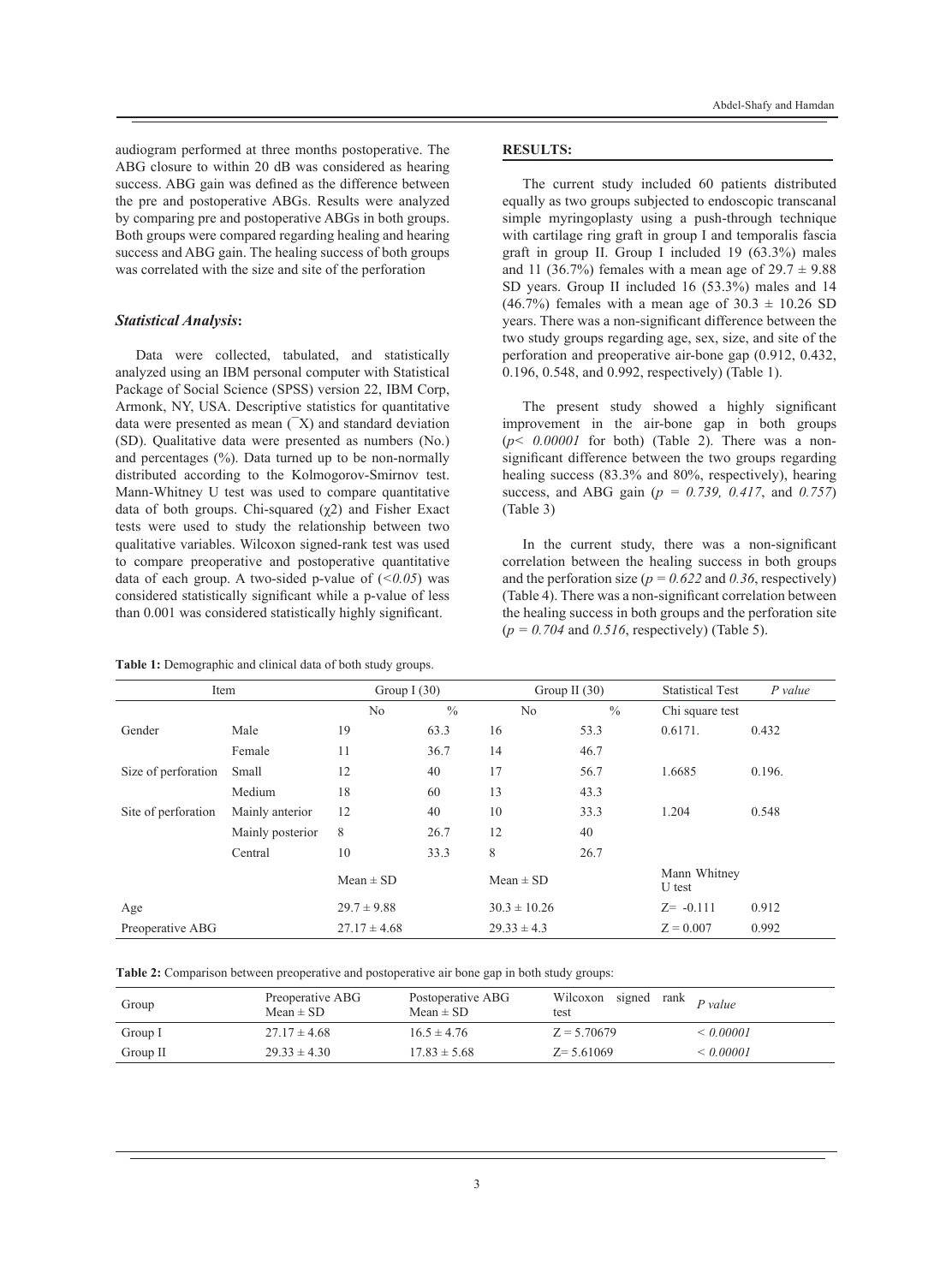audiogram performed at three months postoperative. The ABG closure to within 20 dB was considered as hearing success. ABG gain was defined as the difference between the pre and postoperative ABGs. Results were analyzed by comparing pre and postoperative ABGs in both groups. Both groups were compared regarding healing and hearing success and ABG gain. The healing success of both groups was correlated with the size and site of the perforation

#### *Statistical Analysis***:**

Data were collected, tabulated, and statistically analyzed using an IBM personal computer with Statistical Package of Social Science (SPSS) version 22, IBM Corp, Armonk, NY, USA. Descriptive statistics for quantitative data were presented as mean  $(X)$  and standard deviation (SD). Qualitative data were presented as numbers (No.) and percentages  $(\%)$ . Data turned up to be non-normally distributed according to the Kolmogorov-Smirnov test. Mann-Whitney U test was used to compare quantitative data of both groups. Chi-squared  $(\gamma 2)$  and Fisher Exact tests were used to study the relationship between two qualitative variables. Wilcoxon signed-rank test was used to compare preoperative and postoperative quantitative data of each group. A two-sided p-value of  $(*0.05*)$  was considered statistically significant while a p-value of less than 0.001 was considered statistically highly significant.

**Table 1:** Demographic and clinical data of both study groups.

#### **RESULTS:**

The current study included 60 patients distributed equally as two groups subjected to endoscopic transcanal simple myringoplasty using a push-through technique with cartilage ring graft in group I and temporalis fascia graft in group II. Group I included 19 (63.3%) males and 11 (36.7%) females with a mean age of  $29.7 \pm 9.88$ SD years. Group II included 16 (53.3%) males and 14  $(46.7\%)$  females with a mean age of  $30.3 \pm 10.26$  SD years. There was a non-significant difference between the two study groups regarding age, sex, size, and site of the perforation and preoperative air-bone gap (0.912, 0.432, 0.196, 0.548, and 0.992, respectively) (Table 1).

The present study showed a highly significant improvement in the air-bone gap in both groups  $(p< 0.00001$  for both) (Table 2). There was a nonsignificant difference between the two groups regarding healing success (83.3% and 80%, respectively), hearing success, and ABG gain (*p = 0.739, 0.417*, and *0.757*) (Table 3)

In the current study, there was a non-significant correlation between the healing success in both groups and the perforation size ( $p = 0.622$  and 0.36, respectively) (Table 4). There was a non-significant correlation between the healing success in both groups and the perforation site (*p = 0.704* and *0.516*, respectively) (Table 5).

| Item                |                  | Group I $(30)$   |               |                  | Group II $(30)$ |                        | $P$ value |
|---------------------|------------------|------------------|---------------|------------------|-----------------|------------------------|-----------|
|                     |                  | N <sub>0</sub>   | $\frac{0}{0}$ | No               | $\frac{0}{0}$   | Chi square test        |           |
| Gender              | Male             | 19               | 63.3          | 16               | 53.3            | 0.6171.                | 0.432     |
|                     | Female           | 11               | 36.7          | 14               | 46.7            |                        |           |
| Size of perforation | Small            | 12               | 40            | 17               | 56.7            | 1.6685                 | 0.196.    |
|                     | Medium           | 18               | 60            | 13               | 43.3            |                        |           |
| Site of perforation | Mainly anterior  | 12               | 40            | 10               | 33.3            | 1.204                  | 0.548     |
|                     | Mainly posterior | 8                | 26.7          | 12               | 40              |                        |           |
|                     | Central          | 10               | 33.3          | 8                | 26.7            |                        |           |
|                     |                  | $Mean \pm SD$    |               | $Mean \pm SD$    |                 | Mann Whitney<br>U test |           |
| Age                 |                  | $29.7 \pm 9.88$  |               | $30.3 \pm 10.26$ |                 | $Z = -0.111$           | 0.912     |
| Preoperative ABG    |                  | $27.17 \pm 4.68$ |               | $29.33 \pm 4.3$  |                 | $Z = 0.007$            | 0.992     |

|  |  |  |  |  | Table 2: Comparison between preoperative and postoperative air bone gap in both study groups: |  |  |  |
|--|--|--|--|--|-----------------------------------------------------------------------------------------------|--|--|--|
|--|--|--|--|--|-----------------------------------------------------------------------------------------------|--|--|--|

| Group    | Preoperative ABG<br>Mean $\pm$ SD | Postoperative ABG<br>Mean $\pm$ SD | Wilcoxon signed rank $P value$<br>test |                |
|----------|-----------------------------------|------------------------------------|----------------------------------------|----------------|
| Group I  | $27.17 \pm 4.68$                  | $16.5 \pm 4.76$                    | $Z = 5.70679$                          | $\leq 0.00001$ |
| Group II | $29.33 \pm 4.30$                  | $17.83 \pm 5.68$                   | $Z = 5.61069$                          | $\leq 0.00001$ |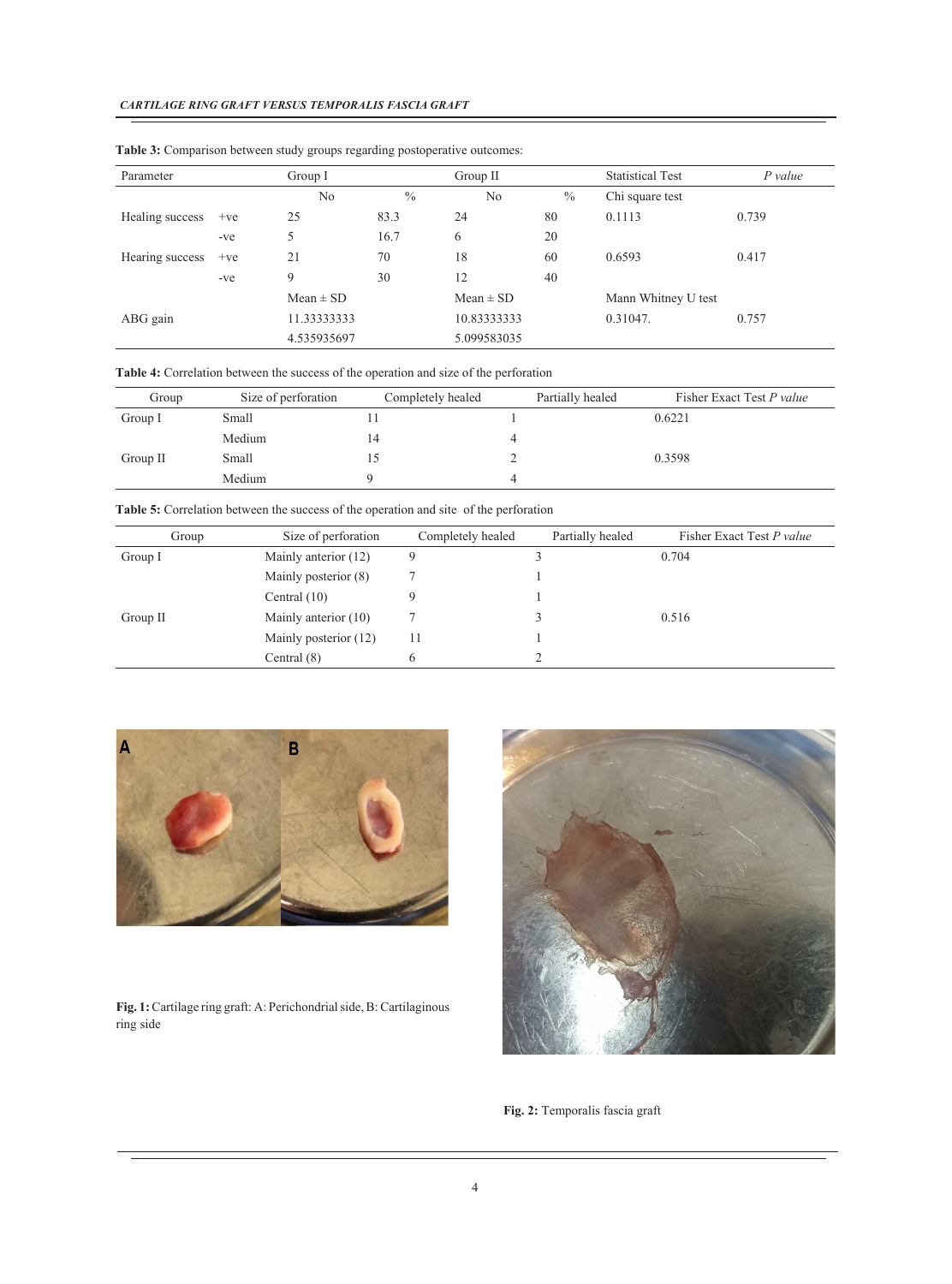| Parameter       |       | Group I       |               | Group II       |      | <b>Statistical Test</b> | P value |
|-----------------|-------|---------------|---------------|----------------|------|-------------------------|---------|
|                 |       | No            | $\frac{0}{0}$ | N <sub>0</sub> | $\%$ | Chi square test         |         |
| Healing success | $+ve$ | 25            | 83.3          | 24             | 80   | 0.1113                  | 0.739   |
|                 | -ve   | 5             | 16.7          | 6              | 20   |                         |         |
| Hearing success | $+ve$ | 21            | 70            | 18             | 60   | 0.6593                  | 0.417   |
|                 | $-ve$ | 9             | 30            | 12             | 40   |                         |         |
|                 |       | $Mean \pm SD$ |               | $Mean \pm SD$  |      | Mann Whitney U test     |         |
| ABG gain        |       | 11.33333333   |               | 10.83333333    |      | 0.31047.                | 0.757   |
|                 |       | 4.535935697   |               | 5.099583035    |      |                         |         |

**Table 3:** Comparison between study groups regarding postoperative outcomes:

**Table 4:** Correlation between the success of the operation and size of the perforation

| Group    | Size of perforation | Completely healed | Partially healed | Fisher Exact Test P value |
|----------|---------------------|-------------------|------------------|---------------------------|
| Group I  | Small               |                   |                  | 0.6221                    |
|          | Medium              | 14                |                  |                           |
| Group II | Small               |                   |                  | 0.3598                    |
|          | Medium              |                   |                  |                           |

**Table 5:** Correlation between the success of the operation and site of the perforation

| Group    | Size of perforation   | Completely healed | Partially healed | Fisher Exact Test P value |
|----------|-----------------------|-------------------|------------------|---------------------------|
| Group I  | Mainly anterior (12)  | 9                 |                  | 0.704                     |
|          | Mainly posterior (8)  |                   |                  |                           |
|          | Central $(10)$        | 9                 |                  |                           |
| Group II | Mainly anterior (10)  |                   |                  | 0.516                     |
|          | Mainly posterior (12) |                   |                  |                           |
|          | Central $(8)$         | $\mathbf{6}$      |                  |                           |



**Fig. 1:** Cartilage ring graft: A: Perichondrial side, B: Cartilaginous ring side



**Fig. 2:** Temporalis fascia graft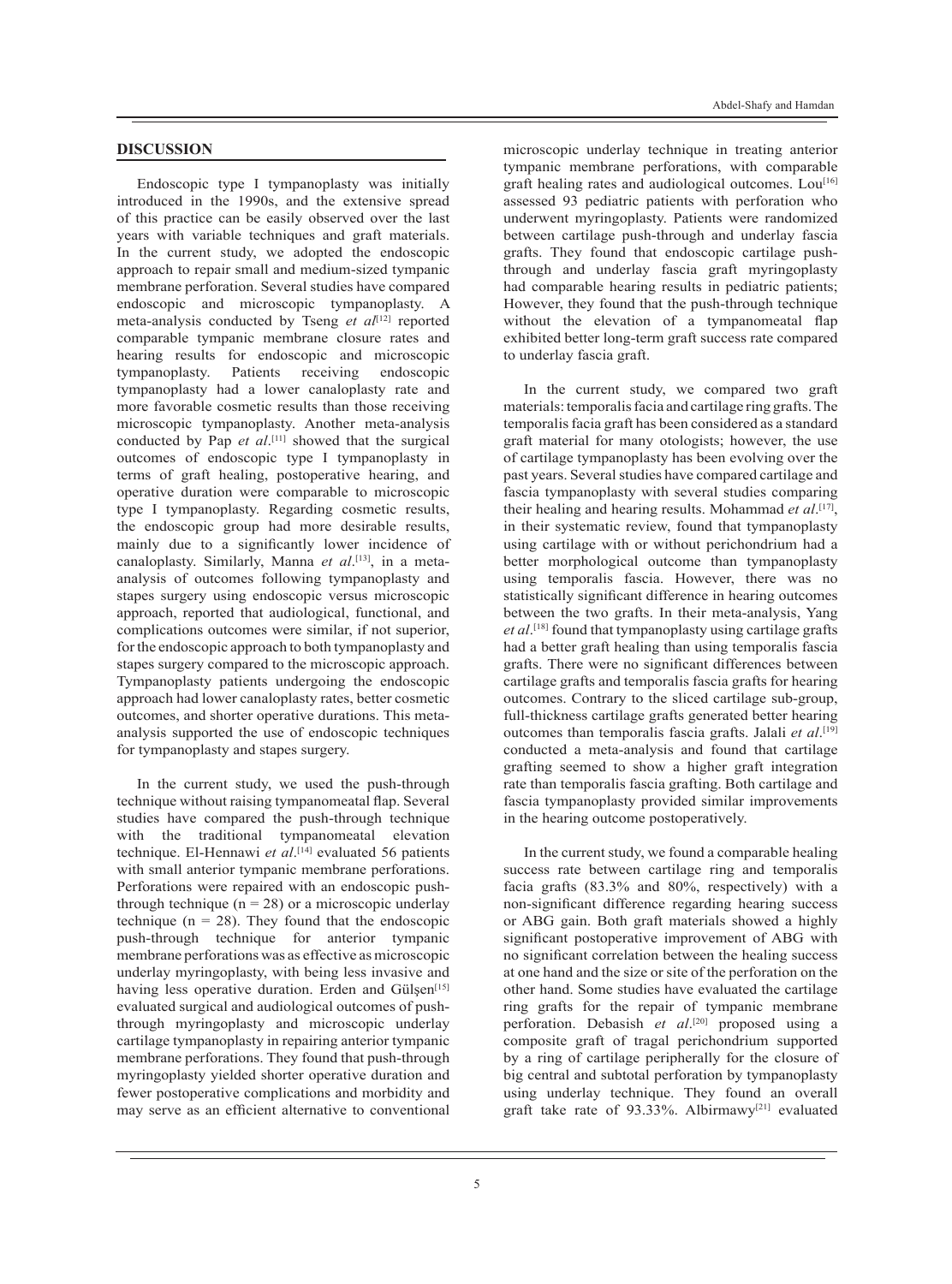#### **DISCUSSION**

Endoscopic type I tympanoplasty was initially introduced in the 1990s, and the extensive spread of this practice can be easily observed over the last years with variable techniques and graft materials. In the current study, we adopted the endoscopic approach to repair small and medium-sized tympanic membrane perforation. Several studies have compared endoscopic and microscopic tympanoplasty. A meta-analysis conducted by Tseng *et al*<sup>[12]</sup> reported comparable tympanic membrane closure rates and hearing results for endoscopic and microscopic<br>tympanoplasty. Patients receiving endoscopic tympanoplasty. Patients receiving endoscopic tympanoplasty had a lower canaloplasty rate and more favorable cosmetic results than those receiving microscopic tympanoplasty. Another meta-analysis conducted by Pap *et al*.<sup>[11]</sup> showed that the surgical outcomes of endoscopic type I tympanoplasty in terms of graft healing, postoperative hearing, and operative duration were comparable to microscopic type I tympanoplasty. Regarding cosmetic results, the endoscopic group had more desirable results, mainly due to a significantly lower incidence of canaloplasty. Similarly, Manna *et al*. [13], in a metaanalysis of outcomes following tympanoplasty and stapes surgery using endoscopic versus microscopic approach, reported that audiological, functional, and complications outcomes were similar, if not superior, for the endoscopic approach to both tympanoplasty and stapes surgery compared to the microscopic approach. Tympanoplasty patients undergoing the endoscopic approach had lower canaloplasty rates, better cosmetic outcomes, and shorter operative durations. This metaanalysis supported the use of endoscopic techniques for tympanoplasty and stapes surgery.

In the current study, we used the push-through technique without raising tympanomeatal flap. Several studies have compared the push-through technique with the traditional tympanomeatal elevation technique. El-Hennawi *et al*. [14] evaluated 56 patients with small anterior tympanic membrane perforations. Perforations were repaired with an endoscopic pushthrough technique  $(n = 28)$  or a microscopic underlay technique ( $n = 28$ ). They found that the endoscopic push-through technique for anterior tympanic membrane perforations was as effective as microscopic underlay myringoplasty, with being less invasive and having less operative duration. Erden and Gülşen<sup>[15]</sup> evaluated surgical and audiological outcomes of pushthrough myringoplasty and microscopic underlay cartilage tympanoplasty in repairing anterior tympanic membrane perforations. They found that push-through myringoplasty yielded shorter operative duration and fewer postoperative complications and morbidity and may serve as an efficient alternative to conventional

microscopic underlay technique in treating anterior tympanic membrane perforations, with comparable graft healing rates and audiological outcomes.  $Lou^{[16]}$ assessed 93 pediatric patients with perforation who underwent myringoplasty. Patients were randomized between cartilage push-through and underlay fascia grafts. They found that endoscopic cartilage pushthrough and underlay fascia graft myringoplasty had comparable hearing results in pediatric patients; However, they found that the push-through technique without the elevation of a tympanomeatal flap exhibited better long-term graft success rate compared to underlay fascia graft.

In the current study, we compared two graft materials: temporalis facia and cartilage ring grafts. The temporalis facia graft has been considered as a standard graft material for many otologists; however, the use of cartilage tympanoplasty has been evolving over the past years. Several studies have compared cartilage and fascia tympanoplasty with several studies comparing their healing and hearing results. Mohammad *et al*. [17], in their systematic review, found that tympanoplasty using cartilage with or without perichondrium had a better morphological outcome than tympanoplasty using temporalis fascia. However, there was no statistically significant difference in hearing outcomes between the two grafts. In their meta-analysis, Yang *et al*. [18] found that tympanoplasty using cartilage grafts had a better graft healing than using temporalis fascia grafts. There were no significant differences between cartilage grafts and temporalis fascia grafts for hearing outcomes. Contrary to the sliced cartilage sub-group, full-thickness cartilage grafts generated better hearing outcomes than temporalis fascia grafts. Jalali *et al*. [19] conducted a meta-analysis and found that cartilage grafting seemed to show a higher graft integration rate than temporalis fascia grafting. Both cartilage and fascia tympanoplasty provided similar improvements in the hearing outcome postoperatively.

In the current study, we found a comparable healing success rate between cartilage ring and temporalis facia grafts (83.3% and 80%, respectively) with a non-significant difference regarding hearing success or ABG gain. Both graft materials showed a highly significant postoperative improvement of ABG with no significant correlation between the healing success at one hand and the size or site of the perforation on the other hand. Some studies have evaluated the cartilage ring grafts for the repair of tympanic membrane perforation. Debasish *et al*. [20] proposed using a composite graft of tragal perichondrium supported by a ring of cartilage peripherally for the closure of big central and subtotal perforation by tympanoplasty using underlay technique. They found an overall graft take rate of 93.33%. Albirmawy<sup>[21]</sup> evaluated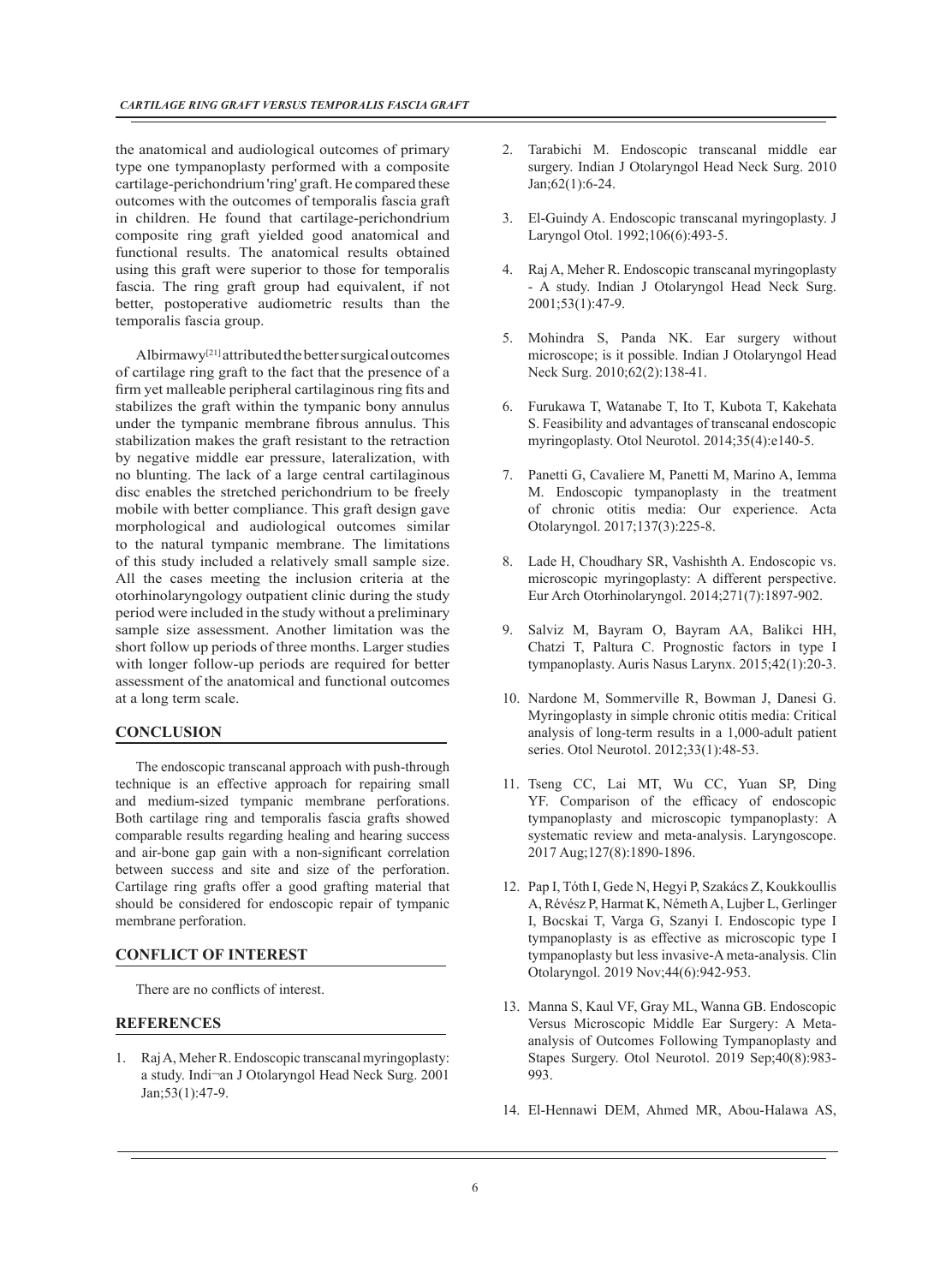the anatomical and audiological outcomes of primary type one tympanoplasty performed with a composite cartilage-perichondrium 'ring' graft. He compared these outcomes with the outcomes of temporalis fascia graft in children. He found that cartilage-perichondrium composite ring graft yielded good anatomical and functional results. The anatomical results obtained using this graft were superior to those for temporalis fascia. The ring graft group had equivalent, if not better, postoperative audiometric results than the temporalis fascia group.

Albirmawy[21] attributed the better surgical outcomes of cartilage ring graft to the fact that the presence of a firm yet malleable peripheral cartilaginous ring fits and stabilizes the graft within the tympanic bony annulus under the tympanic membrane fibrous annulus. This stabilization makes the graft resistant to the retraction by negative middle ear pressure, lateralization, with no blunting. The lack of a large central cartilaginous disc enables the stretched perichondrium to be freely mobile with better compliance. This graft design gave morphological and audiological outcomes similar to the natural tympanic membrane. The limitations of this study included a relatively small sample size. All the cases meeting the inclusion criteria at the otorhinolaryngology outpatient clinic during the study period were included in the study without a preliminary sample size assessment. Another limitation was the short follow up periods of three months. Larger studies with longer follow-up periods are required for better assessment of the anatomical and functional outcomes at a long term scale.

### **CONCLUSION**

The endoscopic transcanal approach with push-through technique is an effective approach for repairing small and medium-sized tympanic membrane perforations. Both cartilage ring and temporalis fascia grafts showed comparable results regarding healing and hearing success and air-bone gap gain with a non-significant correlation between success and site and size of the perforation. Cartilage ring grafts offer a good grafting material that should be considered for endoscopic repair of tympanic membrane perforation.

#### **CONFLICT OF INTEREST**

There are no conflicts of interest.

#### **REFERENCES**

1. Raj A, Meher R. Endoscopic transcanal myringoplasty: a study. Indi¬an J Otolaryngol Head Neck Surg. 2001 Jan;53(1):47-9.

- 2. Tarabichi M. Endoscopic transcanal middle ear surgery. Indian J Otolaryngol Head Neck Surg. 2010 Jan;62(1):6-24.
- 3. El-Guindy A. Endoscopic transcanal myringoplasty. J Laryngol Otol. 1992;106(6):493-5.
- 4. Raj A, Meher R. Endoscopic transcanal myringoplasty - A study. Indian J Otolaryngol Head Neck Surg. 2001;53(1):47-9.
- 5. Mohindra S, Panda NK. Ear surgery without microscope; is it possible. Indian J Otolaryngol Head Neck Surg. 2010;62(2):138-41.
- 6. Furukawa T, Watanabe T, Ito T, Kubota T, Kakehata S. Feasibility and advantages of transcanal endoscopic myringoplasty. Otol Neurotol. 2014;35(4):e140-5.
- 7. Panetti G, Cavaliere M, Panetti M, Marino A, Iemma M. Endoscopic tympanoplasty in the treatment of chronic otitis media: Our experience. Acta Otolaryngol. 2017;137(3):225-8.
- 8. Lade H, Choudhary SR, Vashishth A. Endoscopic vs. microscopic myringoplasty: A different perspective. Eur Arch Otorhinolaryngol. 2014;271(7):1897-902.
- 9. Salviz M, Bayram O, Bayram AA, Balikci HH, Chatzi T, Paltura C. Prognostic factors in type I tympanoplasty. Auris Nasus Larynx. 2015;42(1):20-3.
- 10. Nardone M, Sommerville R, Bowman J, Danesi G. Myringoplasty in simple chronic otitis media: Critical analysis of long-term results in a 1,000-adult patient series. Otol Neurotol. 2012;33(1):48-53.
- 11. Tseng CC, Lai MT, Wu CC, Yuan SP, Ding YF. Comparison of the efficacy of endoscopic tympanoplasty and microscopic tympanoplasty: A systematic review and meta-analysis. Laryngoscope. 2017 Aug;127(8):1890-1896.
- 12. Pap I, Tóth I, Gede N, Hegyi P, Szakács Z, Koukkoullis A, Révész P, Harmat K, Németh A, Lujber L, Gerlinger I, Bocskai T, Varga G, Szanyi I. Endoscopic type I tympanoplasty is as effective as microscopic type I tympanoplasty but less invasive-A meta-analysis. Clin Otolaryngol. 2019 Nov;44(6):942-953.
- 13. Manna S, Kaul VF, Gray ML, Wanna GB. Endoscopic Versus Microscopic Middle Ear Surgery: A Metaanalysis of Outcomes Following Tympanoplasty and Stapes Surgery. Otol Neurotol. 2019 Sep;40(8):983- 993.
- 14. El-Hennawi DEM, Ahmed MR, Abou-Halawa AS,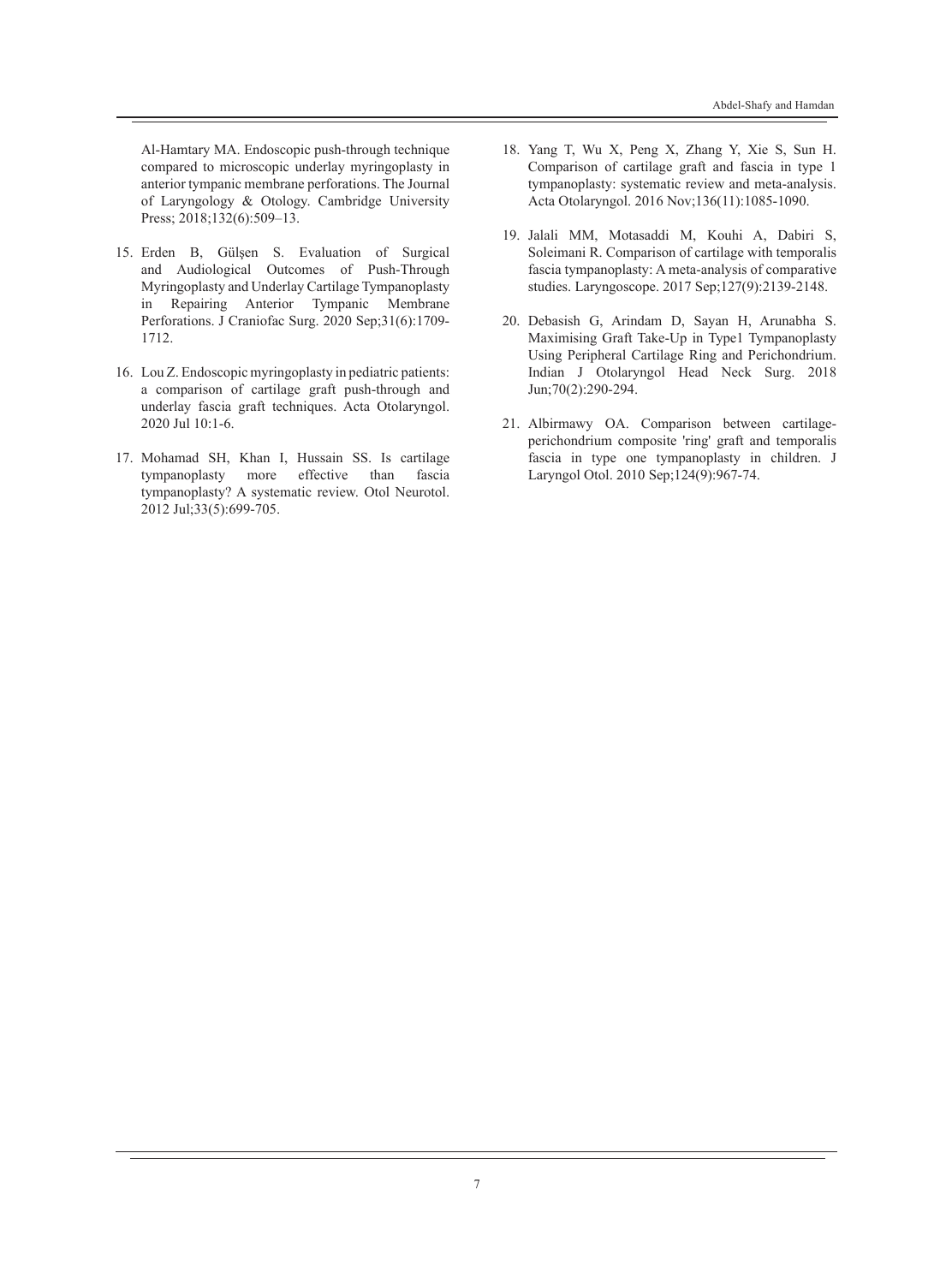Al-Hamtary MA. Endoscopic push-through technique compared to microscopic underlay myringoplasty in anterior tympanic membrane perforations. The Journal of Laryngology & Otology. Cambridge University Press; 2018;132(6):509-13.

- 15. Erden B, Gülşen S. Evaluation of Surgical and Audiological Outcomes of Push-Through Myringoplasty and Underlay Cartilage Tympanoplasty in Repairing Anterior Tympanic Membrane Perforations. J Craniofac Surg. 2020 Sep;31(6):1709- 1712.
- 16. Lou Z. Endoscopic myringoplasty in pediatric patients: a comparison of cartilage graft push-through and underlay fascia graft techniques. Acta Otolaryngol. 2020 Jul 10:1-6.
- 17. Mohamad SH, Khan I, Hussain SS. Is cartilage tympanoplasty more effective than fascia tympanoplasty? A systematic review. Otol Neurotol. 2012 Jul;33(5):699-705.
- 18. Yang T, Wu X, Peng X, Zhang Y, Xie S, Sun H. Comparison of cartilage graft and fascia in type 1 tympanoplasty: systematic review and meta-analysis. Acta Otolaryngol. 2016 Nov;136(11):1085-1090.
- 19. Jalali MM, Motasaddi M, Kouhi A, Dabiri S, Soleimani R. Comparison of cartilage with temporalis fascia tympanoplasty: A meta-analysis of comparative studies. Laryngoscope. 2017 Sep;127(9):2139-2148.
- 20. Debasish G, Arindam D, Sayan H, Arunabha S. Maximising Graft Take-Up in Type1 Tympanoplasty Using Peripheral Cartilage Ring and Perichondrium. Indian J Otolaryngol Head Neck Surg. 2018 Jun;70(2):290-294.
- 21. Albirmawy OA. Comparison between cartilageperichondrium composite 'ring' graft and temporalis fascia in type one tympanoplasty in children. J Laryngol Otol. 2010 Sep;124(9):967-74.